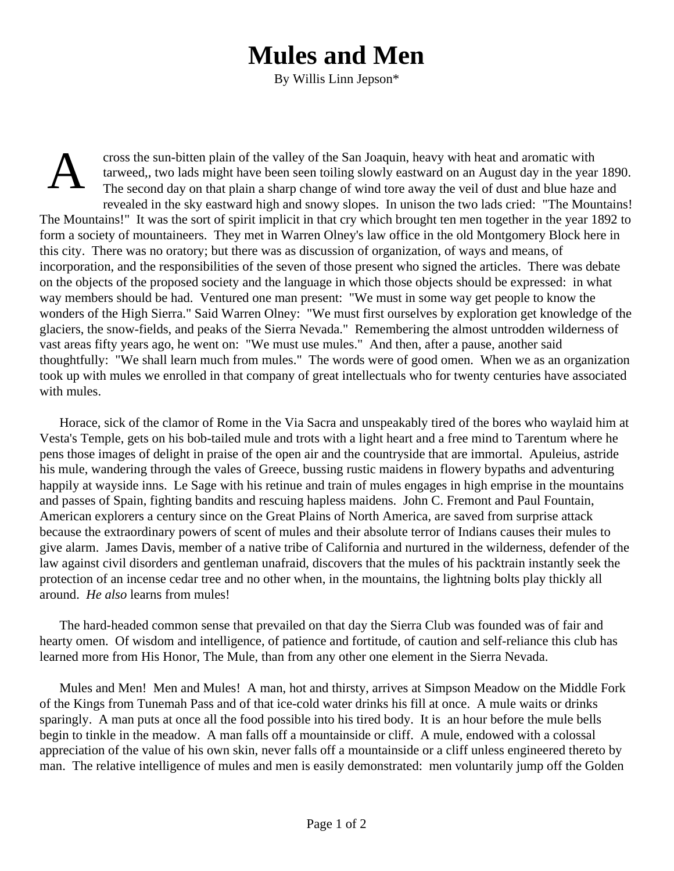## **Mules and Men**

By Willis Linn Jepson\*

A cross the sun-bitten plain of the valley of the San Joaquin, heavy with heat and aromatic with tarweed,, two lads might have been seen toiling slowly eastward on an August day in the year 1890. The second day on that plain a sharp change of wind tore away the veil of dust and blue haze and revealed in the sky eastward high and snowy slopes. In unison the two lads cried: "The Mountains! The Mountains!" It was the sort of spirit implicit in that cry which brought ten men together in the year 1892 to form a society of mountaineers. They met in Warren Olney's law office in the old Montgomery Block here in this city. There was no oratory; but there was as discussion of organization, of ways and means, of incorporation, and the responsibilities of the seven of those present who signed the articles. There was debate on the objects of the proposed society and the language in which those objects should be expressed: in what way members should be had. Ventured one man present: "We must in some way get people to know the wonders of the High Sierra." Said Warren Olney: "We must first ourselves by exploration get knowledge of the glaciers, the snow-fields, and peaks of the Sierra Nevada." Remembering the almost untrodden wilderness of vast areas fifty years ago, he went on: "We must use mules." And then, after a pause, another said thoughtfully: "We shall learn much from mules." The words were of good omen. When we as an organization took up with mules we enrolled in that company of great intellectuals who for twenty centuries have associated with mules.

Horace, sick of the clamor of Rome in the Via Sacra and unspeakably tired of the bores who waylaid him at Vesta's Temple, gets on his bob-tailed mule and trots with a light heart and a free mind to Tarentum where he pens those images of delight in praise of the open air and the countryside that are immortal. Apuleius, astride his mule, wandering through the vales of Greece, bussing rustic maidens in flowery bypaths and adventuring happily at wayside inns. Le Sage with his retinue and train of mules engages in high emprise in the mountains and passes of Spain, fighting bandits and rescuing hapless maidens. John C. Fremont and Paul Fountain, American explorers a century since on the Great Plains of North America, are saved from surprise attack because the extraordinary powers of scent of mules and their absolute terror of Indians causes their mules to give alarm. James Davis, member of a native tribe of California and nurtured in the wilderness, defender of the law against civil disorders and gentleman unafraid, discovers that the mules of his packtrain instantly seek the protection of an incense cedar tree and no other when, in the mountains, the lightning bolts play thickly all around. *He also* learns from mules!

The hard-headed common sense that prevailed on that day the Sierra Club was founded was of fair and hearty omen. Of wisdom and intelligence, of patience and fortitude, of caution and self-reliance this club has learned more from His Honor, The Mule, than from any other one element in the Sierra Nevada.

Mules and Men! Men and Mules! A man, hot and thirsty, arrives at Simpson Meadow on the Middle Fork of the Kings from Tunemah Pass and of that ice-cold water drinks his fill at once. A mule waits or drinks sparingly. A man puts at once all the food possible into his tired body. It is an hour before the mule bells begin to tinkle in the meadow. A man falls off a mountainside or cliff. A mule, endowed with a colossal appreciation of the value of his own skin, never falls off a mountainside or a cliff unless engineered thereto by man. The relative intelligence of mules and men is easily demonstrated: men voluntarily jump off the Golden